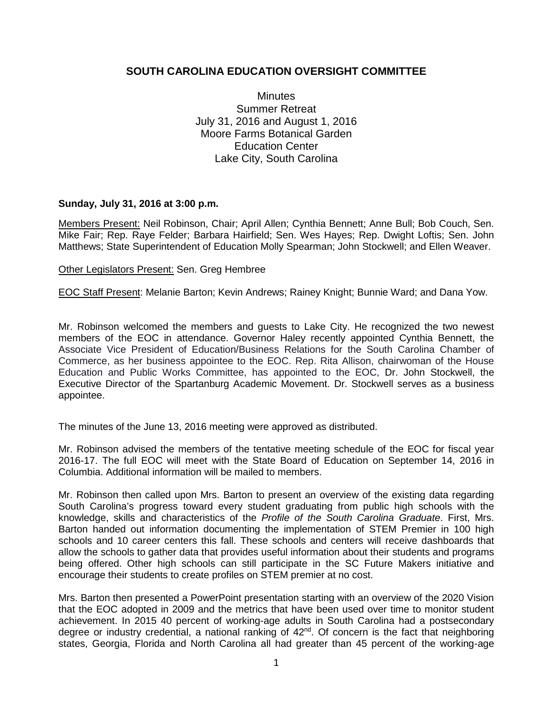# **SOUTH CAROLINA EDUCATION OVERSIGHT COMMITTEE**

**Minutes** Summer Retreat July 31, 2016 and August 1, 2016 Moore Farms Botanical Garden Education Center Lake City, South Carolina

# **Sunday, July 31, 2016 at 3:00 p.m.**

Members Present: Neil Robinson, Chair; April Allen; Cynthia Bennett; Anne Bull; Bob Couch, Sen. Mike Fair; Rep. Raye Felder; Barbara Hairfield; Sen. Wes Hayes; Rep. Dwight Loftis; Sen. John Matthews; State Superintendent of Education Molly Spearman; John Stockwell; and Ellen Weaver.

### Other Legislators Present: Sen. Greg Hembree

EOC Staff Present: Melanie Barton; Kevin Andrews; Rainey Knight; Bunnie Ward; and Dana Yow.

Mr. Robinson welcomed the members and guests to Lake City. He recognized the two newest members of the EOC in attendance. Governor Haley recently appointed Cynthia Bennett, the Associate Vice President of Education/Business Relations for the South Carolina Chamber of Commerce, as her business appointee to the EOC. Rep. Rita Allison, chairwoman of the House Education and Public Works Committee, has appointed to the EOC, Dr. John Stockwell, the Executive Director of the Spartanburg Academic Movement. Dr. Stockwell serves as a business appointee.

The minutes of the June 13, 2016 meeting were approved as distributed.

Mr. Robinson advised the members of the tentative meeting schedule of the EOC for fiscal year 2016-17. The full EOC will meet with the State Board of Education on September 14, 2016 in Columbia. Additional information will be mailed to members.

Mr. Robinson then called upon Mrs. Barton to present an overview of the existing data regarding South Carolina's progress toward every student graduating from public high schools with the knowledge, skills and characteristics of the *Profile of the South Carolina Graduate*. First, Mrs. Barton handed out information documenting the implementation of STEM Premier in 100 high schools and 10 career centers this fall. These schools and centers will receive dashboards that allow the schools to gather data that provides useful information about their students and programs being offered. Other high schools can still participate in the SC Future Makers initiative and encourage their students to create profiles on STEM premier at no cost.

Mrs. Barton then presented a PowerPoint presentation starting with an overview of the 2020 Vision that the EOC adopted in 2009 and the metrics that have been used over time to monitor student achievement. In 2015 40 percent of working-age adults in South Carolina had a postsecondary degree or industry credential, a national ranking of 42<sup>nd</sup>. Of concern is the fact that neighboring states, Georgia, Florida and North Carolina all had greater than 45 percent of the working-age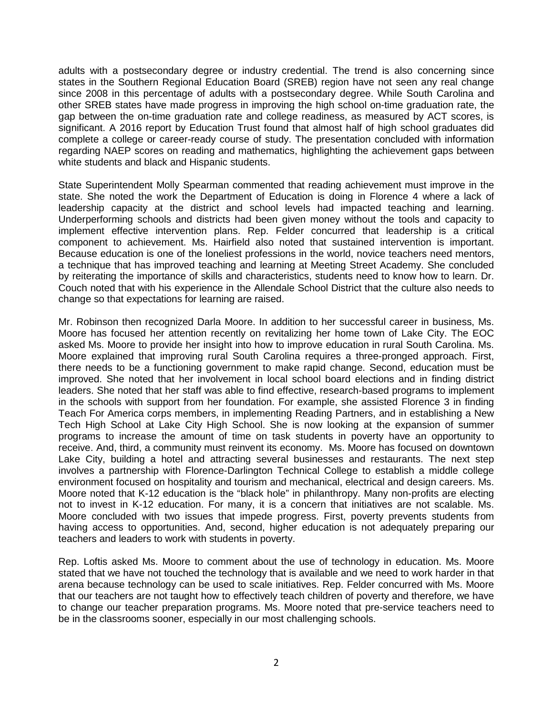adults with a postsecondary degree or industry credential. The trend is also concerning since states in the Southern Regional Education Board (SREB) region have not seen any real change since 2008 in this percentage of adults with a postsecondary degree. While South Carolina and other SREB states have made progress in improving the high school on-time graduation rate, the gap between the on-time graduation rate and college readiness, as measured by ACT scores, is significant. A 2016 report by Education Trust found that almost half of high school graduates did complete a college or career-ready course of study. The presentation concluded with information regarding NAEP scores on reading and mathematics, highlighting the achievement gaps between white students and black and Hispanic students.

State Superintendent Molly Spearman commented that reading achievement must improve in the state. She noted the work the Department of Education is doing in Florence 4 where a lack of leadership capacity at the district and school levels had impacted teaching and learning. Underperforming schools and districts had been given money without the tools and capacity to implement effective intervention plans. Rep. Felder concurred that leadership is a critical component to achievement. Ms. Hairfield also noted that sustained intervention is important. Because education is one of the loneliest professions in the world, novice teachers need mentors, a technique that has improved teaching and learning at Meeting Street Academy. She concluded by reiterating the importance of skills and characteristics, students need to know how to learn. Dr. Couch noted that with his experience in the Allendale School District that the culture also needs to change so that expectations for learning are raised.

Mr. Robinson then recognized Darla Moore. In addition to her successful career in business, Ms. Moore has focused her attention recently on revitalizing her home town of Lake City. The EOC asked Ms. Moore to provide her insight into how to improve education in rural South Carolina. Ms. Moore explained that improving rural South Carolina requires a three-pronged approach. First, there needs to be a functioning government to make rapid change. Second, education must be improved. She noted that her involvement in local school board elections and in finding district leaders. She noted that her staff was able to find effective, research-based programs to implement in the schools with support from her foundation. For example, she assisted Florence 3 in finding Teach For America corps members, in implementing Reading Partners, and in establishing a New Tech High School at Lake City High School. She is now looking at the expansion of summer programs to increase the amount of time on task students in poverty have an opportunity to receive. And, third, a community must reinvent its economy. Ms. Moore has focused on downtown Lake City, building a hotel and attracting several businesses and restaurants. The next step involves a partnership with Florence-Darlington Technical College to establish a middle college environment focused on hospitality and tourism and mechanical, electrical and design careers. Ms. Moore noted that K-12 education is the "black hole" in philanthropy. Many non-profits are electing not to invest in K-12 education. For many, it is a concern that initiatives are not scalable. Ms. Moore concluded with two issues that impede progress. First, poverty prevents students from having access to opportunities. And, second, higher education is not adequately preparing our teachers and leaders to work with students in poverty.

Rep. Loftis asked Ms. Moore to comment about the use of technology in education. Ms. Moore stated that we have not touched the technology that is available and we need to work harder in that arena because technology can be used to scale initiatives. Rep. Felder concurred with Ms. Moore that our teachers are not taught how to effectively teach children of poverty and therefore, we have to change our teacher preparation programs. Ms. Moore noted that pre-service teachers need to be in the classrooms sooner, especially in our most challenging schools.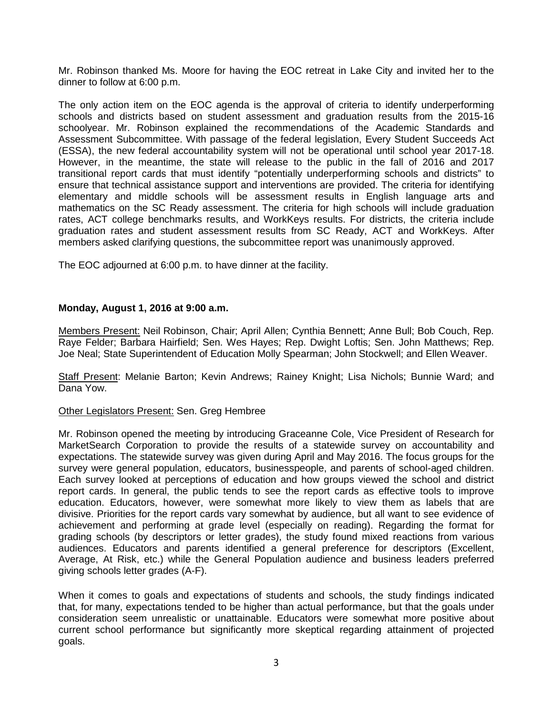Mr. Robinson thanked Ms. Moore for having the EOC retreat in Lake City and invited her to the dinner to follow at 6:00 p.m.

The only action item on the EOC agenda is the approval of criteria to identify underperforming schools and districts based on student assessment and graduation results from the 2015-16 schoolyear. Mr. Robinson explained the recommendations of the Academic Standards and Assessment Subcommittee. With passage of the federal legislation, Every Student Succeeds Act (ESSA), the new federal accountability system will not be operational until school year 2017-18. However, in the meantime, the state will release to the public in the fall of 2016 and 2017 transitional report cards that must identify "potentially underperforming schools and districts" to ensure that technical assistance support and interventions are provided. The criteria for identifying elementary and middle schools will be assessment results in English language arts and mathematics on the SC Ready assessment. The criteria for high schools will include graduation rates, ACT college benchmarks results, and WorkKeys results. For districts, the criteria include graduation rates and student assessment results from SC Ready, ACT and WorkKeys. After members asked clarifying questions, the subcommittee report was unanimously approved.

The EOC adjourned at 6:00 p.m. to have dinner at the facility.

# **Monday, August 1, 2016 at 9:00 a.m.**

Members Present: Neil Robinson, Chair; April Allen; Cynthia Bennett; Anne Bull; Bob Couch, Rep. Raye Felder; Barbara Hairfield; Sen. Wes Hayes; Rep. Dwight Loftis; Sen. John Matthews; Rep. Joe Neal; State Superintendent of Education Molly Spearman; John Stockwell; and Ellen Weaver.

Staff Present: Melanie Barton; Kevin Andrews; Rainey Knight; Lisa Nichols; Bunnie Ward; and Dana Yow.

### Other Legislators Present: Sen. Greg Hembree

Mr. Robinson opened the meeting by introducing Graceanne Cole, Vice President of Research for MarketSearch Corporation to provide the results of a statewide survey on accountability and expectations. The statewide survey was given during April and May 2016. The focus groups for the survey were general population, educators, businesspeople, and parents of school-aged children. Each survey looked at perceptions of education and how groups viewed the school and district report cards. In general, the public tends to see the report cards as effective tools to improve education. Educators, however, were somewhat more likely to view them as labels that are divisive. Priorities for the report cards vary somewhat by audience, but all want to see evidence of achievement and performing at grade level (especially on reading). Regarding the format for grading schools (by descriptors or letter grades), the study found mixed reactions from various audiences. Educators and parents identified a general preference for descriptors (Excellent, Average, At Risk, etc.) while the General Population audience and business leaders preferred giving schools letter grades (A-F).

When it comes to goals and expectations of students and schools, the study findings indicated that, for many, expectations tended to be higher than actual performance, but that the goals under consideration seem unrealistic or unattainable. Educators were somewhat more positive about current school performance but significantly more skeptical regarding attainment of projected goals.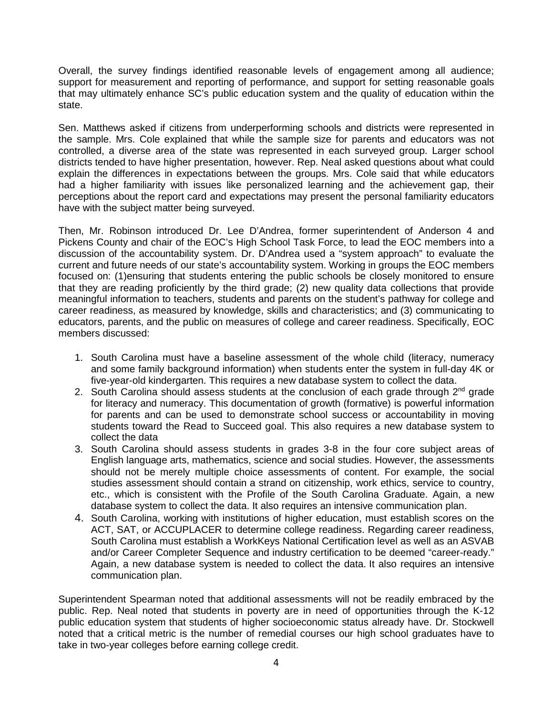Overall, the survey findings identified reasonable levels of engagement among all audience; support for measurement and reporting of performance, and support for setting reasonable goals that may ultimately enhance SC's public education system and the quality of education within the state.

Sen. Matthews asked if citizens from underperforming schools and districts were represented in the sample. Mrs. Cole explained that while the sample size for parents and educators was not controlled, a diverse area of the state was represented in each surveyed group. Larger school districts tended to have higher presentation, however. Rep. Neal asked questions about what could explain the differences in expectations between the groups. Mrs. Cole said that while educators had a higher familiarity with issues like personalized learning and the achievement gap, their perceptions about the report card and expectations may present the personal familiarity educators have with the subject matter being surveyed.

Then, Mr. Robinson introduced Dr. Lee D'Andrea, former superintendent of Anderson 4 and Pickens County and chair of the EOC's High School Task Force, to lead the EOC members into a discussion of the accountability system. Dr. D'Andrea used a "system approach" to evaluate the current and future needs of our state's accountability system. Working in groups the EOC members focused on: (1)ensuring that students entering the public schools be closely monitored to ensure that they are reading proficiently by the third grade; (2) new quality data collections that provide meaningful information to teachers, students and parents on the student's pathway for college and career readiness, as measured by knowledge, skills and characteristics; and (3) communicating to educators, parents, and the public on measures of college and career readiness. Specifically, EOC members discussed:

- 1. South Carolina must have a baseline assessment of the whole child (literacy, numeracy and some family background information) when students enter the system in full-day 4K or five-year-old kindergarten. This requires a new database system to collect the data.
- 2. South Carolina should assess students at the conclusion of each grade through  $2<sup>nd</sup>$  grade for literacy and numeracy. This documentation of growth (formative) is powerful information for parents and can be used to demonstrate school success or accountability in moving students toward the Read to Succeed goal. This also requires a new database system to collect the data
- 3. South Carolina should assess students in grades 3-8 in the four core subject areas of English language arts, mathematics, science and social studies. However, the assessments should not be merely multiple choice assessments of content. For example, the social studies assessment should contain a strand on citizenship, work ethics, service to country, etc., which is consistent with the Profile of the South Carolina Graduate. Again, a new database system to collect the data. It also requires an intensive communication plan.
- 4. South Carolina, working with institutions of higher education, must establish scores on the ACT, SAT, or ACCUPLACER to determine college readiness. Regarding career readiness, South Carolina must establish a WorkKeys National Certification level as well as an ASVAB and/or Career Completer Sequence and industry certification to be deemed "career-ready." Again, a new database system is needed to collect the data. It also requires an intensive communication plan.

Superintendent Spearman noted that additional assessments will not be readily embraced by the public. Rep. Neal noted that students in poverty are in need of opportunities through the K-12 public education system that students of higher socioeconomic status already have. Dr. Stockwell noted that a critical metric is the number of remedial courses our high school graduates have to take in two-year colleges before earning college credit.